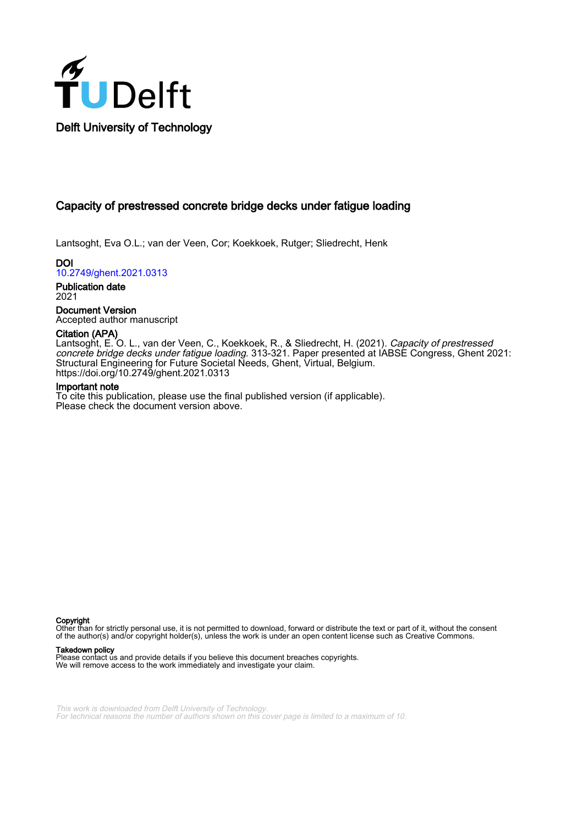

## Capacity of prestressed concrete bridge decks under fatigue loading

Lantsoght, Eva O.L.; van der Veen, Cor; Koekkoek, Rutger; Sliedrecht, Henk

DOI [10.2749/ghent.2021.0313](https://doi.org/10.2749/ghent.2021.0313)

Publication date 2021

Document Version Accepted author manuscript

#### Citation (APA)

Lantsoght, E. O. L., van der Veen, C., Koekkoek, R., & Sliedrecht, H. (2021). *Capacity of prestressed* concrete bridge decks under fatigue loading. 313-321. Paper presented at IABSE Congress, Ghent 2021: Structural Engineering for Future Societal Needs, Ghent, Virtual, Belgium. <https://doi.org/10.2749/ghent.2021.0313>

#### Important note

To cite this publication, please use the final published version (if applicable). Please check the document version above.

Copyright

Other than for strictly personal use, it is not permitted to download, forward or distribute the text or part of it, without the consent of the author(s) and/or copyright holder(s), unless the work is under an open content license such as Creative Commons.

#### Takedown policy

Please contact us and provide details if you believe this document breaches copyrights. We will remove access to the work immediately and investigate your claim.

This work is downloaded from Delft University of Technology. For technical reasons the number of authors shown on this cover page is limited to a maximum of 10.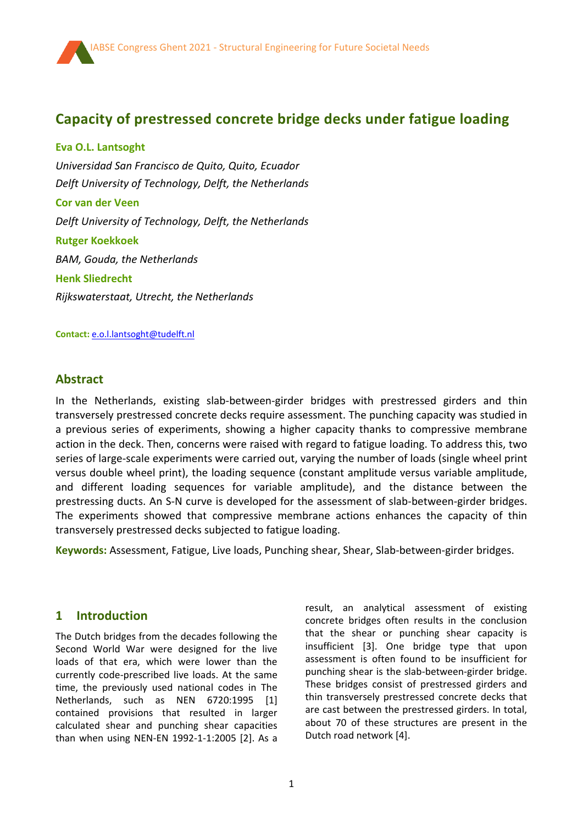# **Capacity of prestressed concrete bridge decks under fatigue loading**

**Eva O.L. Lantsoght** *Universidad San Francisco de Quito, Quito, Ecuador Delft University of Technology, Delft, the Netherlands* **Cor van der Veen** *Delft University of Technology, Delft, the Netherlands* **Rutger Koekkoek** *BAM, Gouda, the Netherlands* **Henk Sliedrecht** *Rijkswaterstaat, Utrecht, the Netherlands*

**Contact:** [e.o.l.lantsoght@tudelft.nl](mailto:e.o.l.lantsoght@tudelft.nl)

### **Abstract**

í

In the Netherlands, existing slab-between-girder bridges with prestressed girders and thin transversely prestressed concrete decks require assessment. The punching capacity was studied in a previous series of experiments, showing a higher capacity thanks to compressive membrane action in the deck. Then, concerns were raised with regard to fatigue loading. To address this, two series of large-scale experiments were carried out, varying the number of loads (single wheel print versus double wheel print), the loading sequence (constant amplitude versus variable amplitude, and different loading sequences for variable amplitude), and the distance between the prestressing ducts. An S-N curve is developed for the assessment of slab-between-girder bridges. The experiments showed that compressive membrane actions enhances the capacity of thin transversely prestressed decks subjected to fatigue loading.

**Keywords:** Assessment, Fatigue, Live loads, Punching shear, Shear, Slab-between-girder bridges.

### **1 Introduction**

The Dutch bridges from the decades following the Second World War were designed for the live loads of that era, which were lower than the currently code-prescribed live loads. At the same time, the previously used national codes in The Netherlands, such as NEN 6720:1995 [1] contained provisions that resulted in larger calculated shear and punching shear capacities than when using NEN-EN 1992-1-1:2005 [2]. As a result, an analytical assessment of existing concrete bridges often results in the conclusion that the shear or punching shear capacity is insufficient [3]. One bridge type that upon assessment is often found to be insufficient for punching shear is the slab-between-girder bridge. These bridges consist of prestressed girders and thin transversely prestressed concrete decks that are cast between the prestressed girders. In total, about 70 of these structures are present in the Dutch road network [4].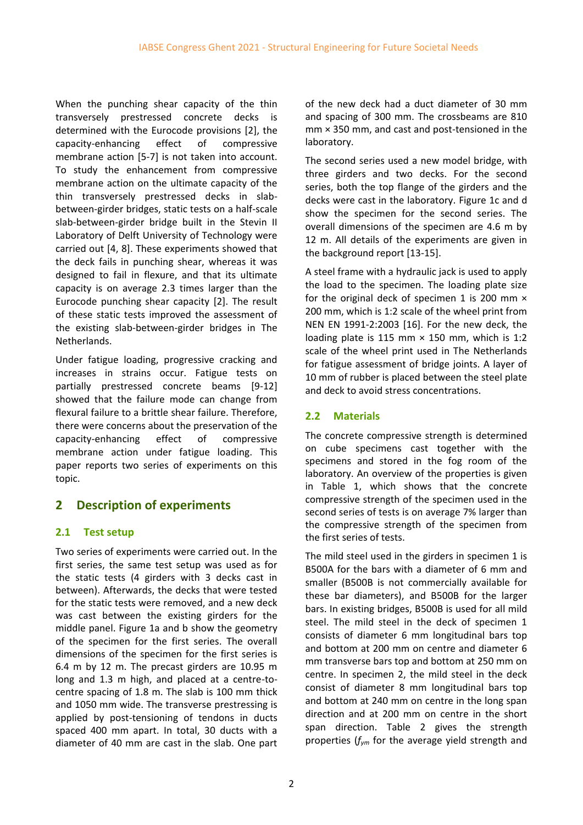When the punching shear capacity of the thin transversely prestressed concrete decks is determined with the Eurocode provisions [2], the capacity-enhancing effect of compressive membrane action [5-7] is not taken into account. To study the enhancement from compressive membrane action on the ultimate capacity of the thin transversely prestressed decks in slabbetween-girder bridges, static tests on a half-scale slab-between-girder bridge built in the Stevin II Laboratory of Delft University of Technology were carried out [4, 8]. These experiments showed that the deck fails in punching shear, whereas it was designed to fail in flexure, and that its ultimate capacity is on average 2.3 times larger than the Eurocode punching shear capacity [2]. The result of these static tests improved the assessment of the existing slab-between-girder bridges in The Netherlands.

Under fatigue loading, progressive cracking and increases in strains occur. Fatigue tests on partially prestressed concrete beams [9-12] showed that the failure mode can change from flexural failure to a brittle shear failure. Therefore, there were concerns about the preservation of the capacity-enhancing effect of compressive membrane action under fatigue loading. This paper reports two series of experiments on this topic.

# **2 Description of experiments**

### **2.1 Test setup**

Two series of experiments were carried out. In the first series, the same test setup was used as for the static tests (4 girders with 3 decks cast in between). Afterwards, the decks that were tested for the static tests were removed, and a new deck was cast between the existing girders for the middle panel. [Figure 1a](#page-4-0) and b show the geometry of the specimen for the first series. The overall dimensions of the specimen for the first series is 6.4 m by 12 m. The precast girders are 10.95 m long and 1.3 m high, and placed at a centre-tocentre spacing of 1.8 m. The slab is 100 mm thick and 1050 mm wide. The transverse prestressing is applied by post-tensioning of tendons in ducts spaced 400 mm apart. In total, 30 ducts with a diameter of 40 mm are cast in the slab. One part of the new deck had a duct diameter of 30 mm and spacing of 300 mm. The crossbeams are 810 mm × 350 mm, and cast and post-tensioned in the laboratory.

The second series used a new model bridge, with three girders and two decks. For the second series, both the top flange of the girders and the decks were cast in the laboratory. [Figure 1c](#page-4-0) and d show the specimen for the second series. The overall dimensions of the specimen are 4.6 m by 12 m. All details of the experiments are given in the background report [13-15].

A steel frame with a hydraulic jack is used to apply the load to the specimen. The loading plate size for the original deck of specimen 1 is 200 mm × 200 mm, which is 1:2 scale of the wheel print from NEN EN 1991-2:2003 [16]. For the new deck, the loading plate is 115 mm  $\times$  150 mm, which is 1:2 scale of the wheel print used in The Netherlands for fatigue assessment of bridge joints. A layer of 10 mm of rubber is placed between the steel plate and deck to avoid stress concentrations.

## **2.2 Materials**

The concrete compressive strength is determined on cube specimens cast together with the specimens and stored in the fog room of the laboratory. An overview of the properties is given in [Table 1,](#page-3-0) which shows that the concrete compressive strength of the specimen used in the second series of tests is on average 7% larger than the compressive strength of the specimen from the first series of tests.

The mild steel used in the girders in specimen 1 is B500A for the bars with a diameter of 6 mm and smaller (B500B is not commercially available for these bar diameters), and B500B for the larger bars. In existing bridges, B500B is used for all mild steel. The mild steel in the deck of specimen 1 consists of diameter 6 mm longitudinal bars top and bottom at 200 mm on centre and diameter 6 mm transverse bars top and bottom at 250 mm on centre. In specimen 2, the mild steel in the deck consist of diameter 8 mm longitudinal bars top and bottom at 240 mm on centre in the long span direction and at 200 mm on centre in the short span direction. [Table 2](#page-3-1) gives the strength properties (*fym* for the average yield strength and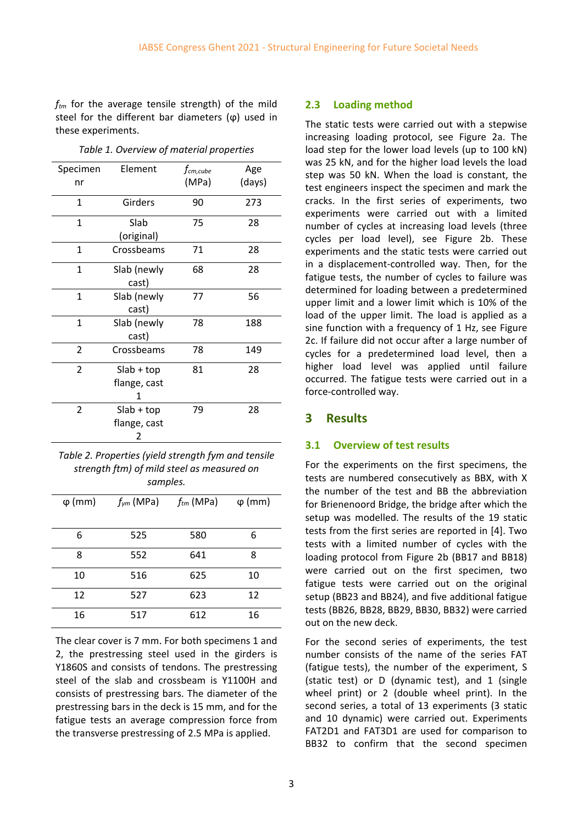*ftm* for the average tensile strength) of the mild steel for the different bar diameters  $(φ)$  used in these experiments.

<span id="page-3-0"></span>

| Specimen       | Element                           | $f_{cm,cube}$ | Age    |
|----------------|-----------------------------------|---------------|--------|
| nr             |                                   | (MPa)         | (days) |
| $\mathbf{1}$   | Girders                           | 90            | 273    |
| 1              | Slab<br>(original)                | 75            | 28     |
| $\mathbf{1}$   | Crossbeams                        | 71            | 28     |
| 1              | Slab (newly<br>cast)              | 68            | 28     |
| 1              | Slab (newly<br>cast)              | 77            | 56     |
| $\overline{1}$ | Slab (newly<br>cast)              | 78            | 188    |
| 2              | Crossbeams                        | 78            | 149    |
| $\overline{2}$ | $Slab + top$<br>flange, cast<br>1 | 81            | 28     |
| $\overline{2}$ | $Slab + top$<br>flange, cast<br>2 | 79            | 28     |

*Table 1. Overview of material properties*

<span id="page-3-1"></span>*Table 2. Properties (yield strength fym and tensile strength ftm) of mild steel as measured on samples.*

| $\varphi$ (mm) | $f_{\nu m}$ (MPa) | $f_{tm}$ (MPa) | $\varphi$ (mm) |
|----------------|-------------------|----------------|----------------|
| 6              | 525               | 580            | 6              |
| 8              | 552               | 641            | 8              |
| 10             | 516               | 625            | 10             |
| 12             | 527               | 623            | 12             |
| 16             | 517               | 612            | 16             |

The clear cover is 7 mm. For both specimens 1 and 2, the prestressing steel used in the girders is Y1860S and consists of tendons. The prestressing steel of the slab and crossbeam is Y1100H and consists of prestressing bars. The diameter of the prestressing bars in the deck is 15 mm, and for the fatigue tests an average compression force from the transverse prestressing of 2.5 MPa is applied.

#### **2.3 Loading method**

The static tests were carried out with a stepwise increasing loading protocol, see [Figure 2a](#page-4-1). The load step for the lower load levels (up to 100 kN) was 25 kN, and for the higher load levels the load step was 50 kN. When the load is constant, the test engineers inspect the specimen and mark the cracks. In the first series of experiments, two experiments were carried out with a limited number of cycles at increasing load levels (three cycles per load level), see [Figure 2b](#page-4-1). These experiments and the static tests were carried out in a displacement-controlled way. Then, for the fatigue tests, the number of cycles to failure was determined for loading between a predetermined upper limit and a lower limit which is 10% of the load of the upper limit. The load is applied as a sine function with a frequency of 1 Hz, see [Figure](#page-4-1)  [2c](#page-4-1). If failure did not occur after a large number of cycles for a predetermined load level, then a higher load level was applied until failure occurred. The fatigue tests were carried out in a force-controlled way.

#### **3 Results**

#### **3.1 Overview of test results**

For the experiments on the first specimens, the tests are numbered consecutively as BBX, with X the number of the test and BB the abbreviation for Brienenoord Bridge, the bridge after which the setup was modelled. The results of the 19 static tests from the first series are reported in [4]. Two tests with a limited number of cycles with the loading protocol from [Figure 2b](#page-4-1) (BB17 and BB18) were carried out on the first specimen, two fatigue tests were carried out on the original setup (BB23 and BB24), and five additional fatigue tests (BB26, BB28, BB29, BB30, BB32) were carried out on the new deck.

For the second series of experiments, the test number consists of the name of the series FAT (fatigue tests), the number of the experiment, S (static test) or D (dynamic test), and 1 (single wheel print) or 2 (double wheel print). In the second series, a total of 13 experiments (3 static and 10 dynamic) were carried out. Experiments FAT2D1 and FAT3D1 are used for comparison to BB32 to confirm that the second specimen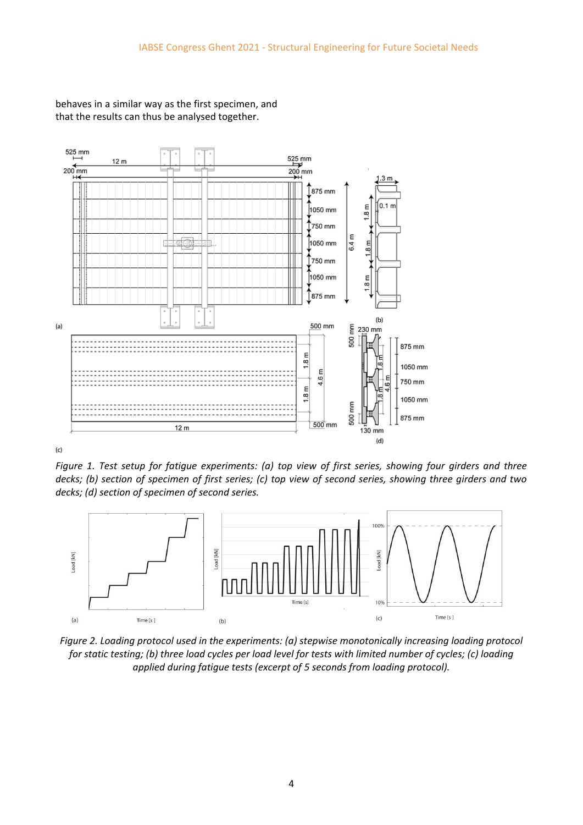

behaves in a similar way as the first specimen, and that the results can thus be analysed together.

<span id="page-4-0"></span>*Figure 1. Test setup for fatigue experiments: (a) top view of first series, showing four girders and three decks; (b) section of specimen of first series; (c) top view of second series, showing three girders and two decks; (d) section of specimen of second series.*



<span id="page-4-1"></span>*Figure 2. Loading protocol used in the experiments: (a) stepwise monotonically increasing loading protocol for static testing; (b) three load cycles per load level for tests with limited number of cycles; (c) loading applied during fatigue tests (excerpt of 5 seconds from loading protocol).*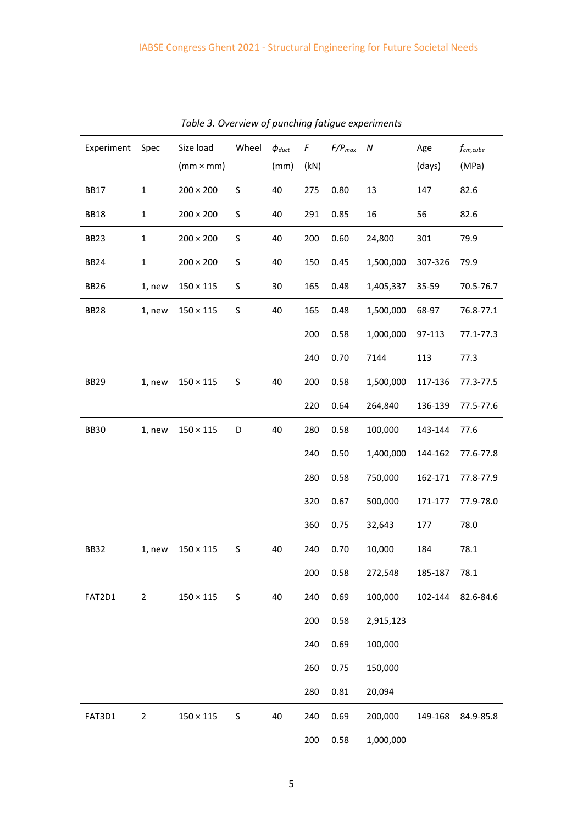| Experiment Spec  |                | Size load        | Wheel | $\phi_{\textit{duct}}$ | F    | $F/P_{max}$ | ${\cal N}$ | Age     | $f_{cm,cube}$ |
|------------------|----------------|------------------|-------|------------------------|------|-------------|------------|---------|---------------|
|                  |                | $(mm \times mm)$ |       | (mm)                   | (kN) |             |            | (days)  | (MPa)         |
| <b>BB17</b>      | $\mathbf{1}$   | $200 \times 200$ | S     | 40                     | 275  | 0.80        | 13         | 147     | 82.6          |
| <b>BB18</b>      | $\mathbf{1}$   | $200 \times 200$ | S     | 40                     | 291  | 0.85        | 16         | 56      | 82.6          |
| BB <sub>23</sub> | $\mathbf{1}$   | $200 \times 200$ | S     | 40                     | 200  | 0.60        | 24,800     | 301     | 79.9          |
| <b>BB24</b>      | $\mathbf{1}$   | $200 \times 200$ | S     | 40                     | 150  | 0.45        | 1,500,000  | 307-326 | 79.9          |
| <b>BB26</b>      | 1, new         | $150 \times 115$ | S     | 30                     | 165  | 0.48        | 1,405,337  | 35-59   | 70.5-76.7     |
| <b>BB28</b>      | 1, new         | $150\times115$   | S     | 40                     | 165  | 0.48        | 1,500,000  | 68-97   | 76.8-77.1     |
|                  |                |                  |       |                        | 200  | 0.58        | 1,000,000  | 97-113  | 77.1-77.3     |
|                  |                |                  |       |                        | 240  | 0.70        | 7144       | 113     | 77.3          |
| BB29             | 1, new         | $150 \times 115$ | S     | 40                     | 200  | 0.58        | 1,500,000  | 117-136 | 77.3-77.5     |
|                  |                |                  |       |                        | 220  | 0.64        | 264,840    | 136-139 | 77.5-77.6     |
| <b>BB30</b>      | 1, new         | $150\times115$   | D     | 40                     | 280  | 0.58        | 100,000    | 143-144 | 77.6          |
|                  |                |                  |       |                        | 240  | 0.50        | 1,400,000  | 144-162 | 77.6-77.8     |
|                  |                |                  |       |                        | 280  | 0.58        | 750,000    | 162-171 | 77.8-77.9     |
|                  |                |                  |       |                        | 320  | 0.67        | 500,000    | 171-177 | 77.9-78.0     |
|                  |                |                  |       |                        | 360  | 0.75        | 32,643     | 177     | 78.0          |
| <b>BB32</b>      | 1, new         | $150 \times 115$ | S     | 40                     | 240  | 0.70        | 10,000     | 184     | 78.1          |
|                  |                |                  |       |                        | 200  | 0.58        | 272,548    | 185-187 | 78.1          |
| FAT2D1           | $\overline{2}$ | $150 \times 115$ | S     | 40                     | 240  | 0.69        | 100,000    | 102-144 | 82.6-84.6     |
|                  |                |                  |       |                        | 200  | 0.58        | 2,915,123  |         |               |
|                  |                |                  |       |                        | 240  | 0.69        | 100,000    |         |               |
|                  |                |                  |       |                        | 260  | 0.75        | 150,000    |         |               |
|                  |                |                  |       |                        | 280  | 0.81        | 20,094     |         |               |
| FAT3D1           | $\overline{2}$ | $150 \times 115$ | S     | 40                     | 240  | 0.69        | 200,000    | 149-168 | 84.9-85.8     |
|                  |                |                  |       |                        | 200  | 0.58        | 1,000,000  |         |               |

*Table 3. Overview of punching fatigue experiments*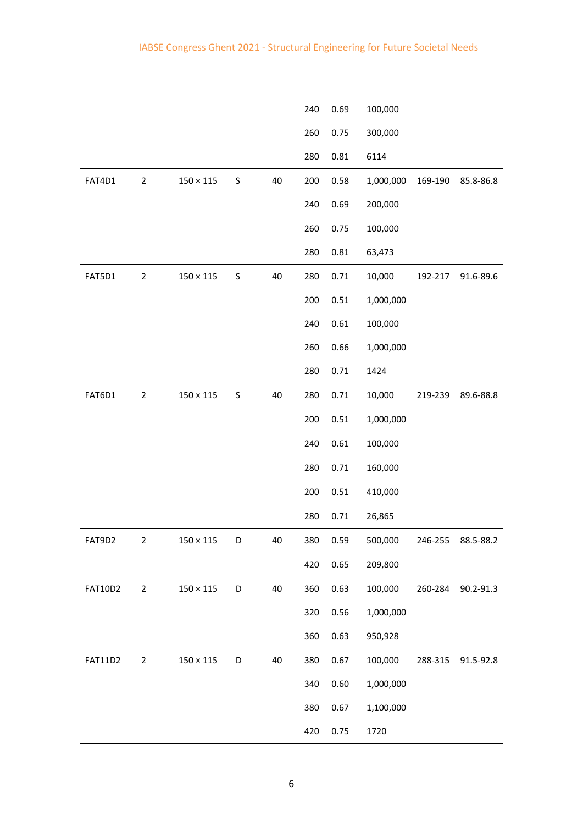|                |                |                  |         |    | 240 | 0.69 | 100,000   |         |           |
|----------------|----------------|------------------|---------|----|-----|------|-----------|---------|-----------|
|                |                |                  |         |    | 260 | 0.75 | 300,000   |         |           |
|                |                |                  |         |    | 280 | 0.81 | 6114      |         |           |
| FAT4D1         | $\overline{2}$ | $150\times115$   | S       | 40 | 200 | 0.58 | 1,000,000 | 169-190 | 85.8-86.8 |
|                |                |                  |         |    | 240 | 0.69 | 200,000   |         |           |
|                |                |                  |         |    | 260 | 0.75 | 100,000   |         |           |
|                |                |                  |         |    | 280 | 0.81 | 63,473    |         |           |
| FAT5D1         | $\mathbf 2$    | $150\times115$   | $\sf S$ | 40 | 280 | 0.71 | 10,000    | 192-217 | 91.6-89.6 |
|                |                |                  |         |    | 200 | 0.51 | 1,000,000 |         |           |
|                |                |                  |         |    | 240 | 0.61 | 100,000   |         |           |
|                |                |                  |         |    | 260 | 0.66 | 1,000,000 |         |           |
|                |                |                  |         |    | 280 | 0.71 | 1424      |         |           |
| FAT6D1         | $\overline{2}$ | $150\times115$   | S       | 40 | 280 | 0.71 | 10,000    | 219-239 | 89.6-88.8 |
|                |                |                  |         |    | 200 | 0.51 | 1,000,000 |         |           |
|                |                |                  |         |    | 240 | 0.61 | 100,000   |         |           |
|                |                |                  |         |    | 280 | 0.71 | 160,000   |         |           |
|                |                |                  |         |    | 200 | 0.51 | 410,000   |         |           |
|                |                |                  |         |    | 280 | 0.71 | 26,865    |         |           |
| FAT9D2         | 2              | $150 \times 115$ | D       | 40 | 380 | 0.59 | 500,000   | 246-255 | 88.5-88.2 |
|                |                |                  |         |    | 420 | 0.65 | 209,800   |         |           |
| <b>FAT10D2</b> | $\overline{2}$ | $150\times115$   | D       | 40 | 360 | 0.63 | 100,000   | 260-284 | 90.2-91.3 |
|                |                |                  |         |    | 320 | 0.56 | 1,000,000 |         |           |
|                |                |                  |         |    | 360 | 0.63 | 950,928   |         |           |
| <b>FAT11D2</b> | $\overline{2}$ | $150\times115$   | D       | 40 | 380 | 0.67 | 100,000   | 288-315 | 91.5-92.8 |
|                |                |                  |         |    | 340 | 0.60 | 1,000,000 |         |           |
|                |                |                  |         |    | 380 | 0.67 | 1,100,000 |         |           |
|                |                |                  |         |    | 420 | 0.75 | 1720      |         |           |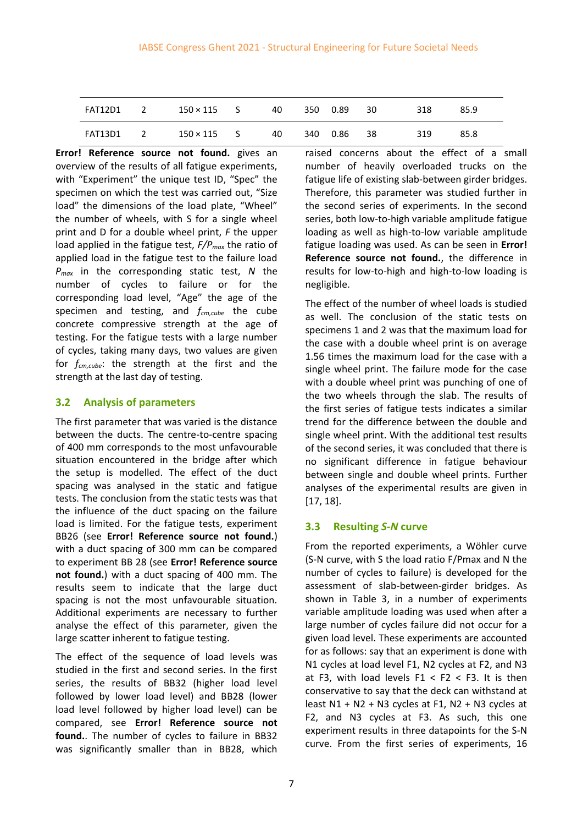| FAT12D1  2 | $150 \times 115$ S 40 |  | 350  0.89  30 | 318 | 85.9 |
|------------|-----------------------|--|---------------|-----|------|
| FAT13D1  2 | $150 \times 115$ S 40 |  | 340  0.86  38 | 319 | 85.8 |

**Error! Reference source not found.** gives an overview of the results of all fatigue experiments, with "Experiment" the unique test ID, "Spec" the specimen on which the test was carried out, "Size load" the dimensions of the load plate, "Wheel" the number of wheels, with S for a single wheel print and D for a double wheel print, *F* the upper load applied in the fatigue test, *F/Pmax* the ratio of applied load in the fatigue test to the failure load *Pmax* in the corresponding static test, *N* the number of cycles to failure or for the corresponding load level, "Age" the age of the specimen and testing, and *fcm,cube* the cube concrete compressive strength at the age of testing. For the fatigue tests with a large number of cycles, taking many days, two values are given for *fcm,cube*: the strength at the first and the strength at the last day of testing.

#### **3.2 Analysis of parameters**

The first parameter that was varied is the distance between the ducts. The centre-to-centre spacing of 400 mm corresponds to the most unfavourable situation encountered in the bridge after which the setup is modelled. The effect of the duct spacing was analysed in the static and fatigue tests. The conclusion from the static tests was that the influence of the duct spacing on the failure load is limited. For the fatigue tests, experiment BB26 (see **Error! Reference source not found.**) with a duct spacing of 300 mm can be compared to experiment BB 28 (see **Error! Reference source not found.**) with a duct spacing of 400 mm. The results seem to indicate that the large duct spacing is not the most unfavourable situation. Additional experiments are necessary to further analyse the effect of this parameter, given the large scatter inherent to fatigue testing.

The effect of the sequence of load levels was studied in the first and second series. In the first series, the results of BB32 (higher load level followed by lower load level) and BB28 (lower load level followed by higher load level) can be compared, see **Error! Reference source not found.**. The number of cycles to failure in BB32 was significantly smaller than in BB28, which raised concerns about the effect of a small number of heavily overloaded trucks on the fatigue life of existing slab-between girder bridges. Therefore, this parameter was studied further in the second series of experiments. In the second series, both low-to-high variable amplitude fatigue loading as well as high-to-low variable amplitude fatigue loading was used. As can be seen in **Error! Reference source not found.**, the difference in results for low-to-high and high-to-low loading is negligible.

The effect of the number of wheel loads is studied as well. The conclusion of the static tests on specimens 1 and 2 was that the maximum load for the case with a double wheel print is on average 1.56 times the maximum load for the case with a single wheel print. The failure mode for the case with a double wheel print was punching of one of the two wheels through the slab. The results of the first series of fatigue tests indicates a similar trend for the difference between the double and single wheel print. With the additional test results of the second series, it was concluded that there is no significant difference in fatigue behaviour between single and double wheel prints. Further analyses of the experimental results are given in [17, 18].

### **3.3 Resulting** *S-N* **curve**

From the reported experiments, a Wöhler curve (S-N curve, with S the load ratio F/Pmax and N the number of cycles to failure) is developed for the assessment of slab-between-girder bridges. As shown in Table 3, in a number of experiments variable amplitude loading was used when after a large number of cycles failure did not occur for a given load level. These experiments are accounted for as follows: say that an experiment is done with N1 cycles at load level F1, N2 cycles at F2, and N3 at F3, with load levels  $F1 < F2 < F3$ . It is then conservative to say that the deck can withstand at least  $N1 + N2 + N3$  cycles at F1,  $N2 + N3$  cycles at F2, and N3 cycles at F3. As such, this one experiment results in three datapoints for the S-N curve. From the first series of experiments, 16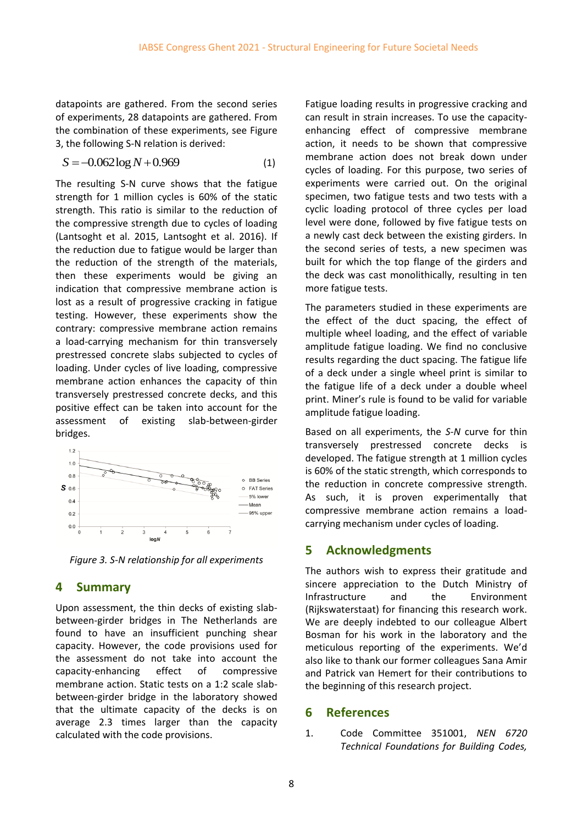datapoints are gathered. From the second series of experiments, 28 datapoints are gathered. From the combination of these experiments, see Figure 3, the following S-N relation is derived:

$$
S = -0.062 \log N + 0.969
$$
 (1)

The resulting S-N curve shows that the fatigue strength for 1 million cycles is 60% of the static strength. This ratio is similar to the reduction of the compressive strength due to cycles of loading (Lantsoght et al. 2015, Lantsoght et al. 2016). If the reduction due to fatigue would be larger than the reduction of the strength of the materials, then these experiments would be giving an indication that compressive membrane action is lost as a result of progressive cracking in fatigue testing. However, these experiments show the contrary: compressive membrane action remains a load-carrying mechanism for thin transversely prestressed concrete slabs subjected to cycles of loading. Under cycles of live loading, compressive membrane action enhances the capacity of thin transversely prestressed concrete decks, and this positive effect can be taken into account for the assessment of existing slab-between-girder bridges.



*Figure 3. S-N relationship for all experiments*

## **4 Summary**

Upon assessment, the thin decks of existing slabbetween-girder bridges in The Netherlands are found to have an insufficient punching shear capacity. However, the code provisions used for the assessment do not take into account the capacity-enhancing effect of compressive membrane action. Static tests on a 1:2 scale slabbetween-girder bridge in the laboratory showed that the ultimate capacity of the decks is on average 2.3 times larger than the capacity calculated with the code provisions.

Fatigue loading results in progressive cracking and can result in strain increases. To use the capacityenhancing effect of compressive membrane action, it needs to be shown that compressive membrane action does not break down under cycles of loading. For this purpose, two series of experiments were carried out. On the original specimen, two fatigue tests and two tests with a cyclic loading protocol of three cycles per load level were done, followed by five fatigue tests on a newly cast deck between the existing girders. In the second series of tests, a new specimen was built for which the top flange of the girders and the deck was cast monolithically, resulting in ten more fatigue tests.

The parameters studied in these experiments are the effect of the duct spacing, the effect of multiple wheel loading, and the effect of variable amplitude fatigue loading. We find no conclusive results regarding the duct spacing. The fatigue life of a deck under a single wheel print is similar to the fatigue life of a deck under a double wheel print. Miner's rule is found to be valid for variable amplitude fatigue loading.

Based on all experiments, the *S-N* curve for thin transversely prestressed concrete decks is developed. The fatigue strength at 1 million cycles is 60% of the static strength, which corresponds to the reduction in concrete compressive strength. As such, it is proven experimentally that compressive membrane action remains a loadcarrying mechanism under cycles of loading.

## **5 Acknowledgments**

The authors wish to express their gratitude and sincere appreciation to the Dutch Ministry of Infrastructure and the Environment (Rijkswaterstaat) for financing this research work. We are deeply indebted to our colleague Albert Bosman for his work in the laboratory and the meticulous reporting of the experiments. We'd also like to thank our former colleagues Sana Amir and Patrick van Hemert for their contributions to the beginning of this research project.

### **6 References**

1. Code Committee 351001, *NEN 6720 Technical Foundations for Building Codes,*